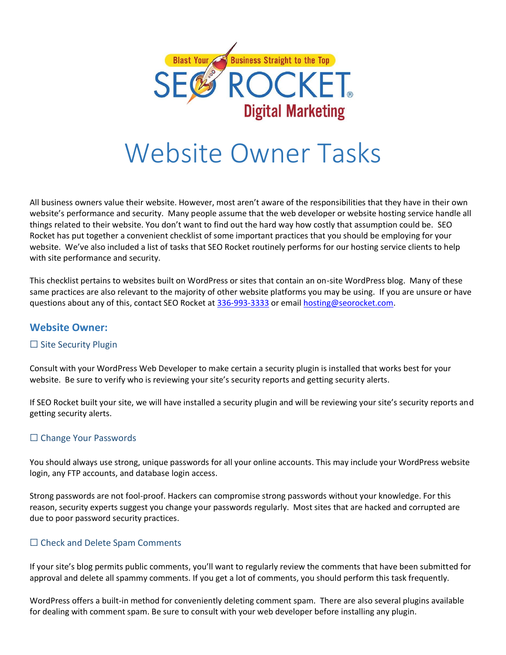

# Website Owner Tasks

All business owners value their website. However, most aren't aware of the responsibilities that they have in their own website's performance and security. Many people assume that the web developer or website hosting service handle all things related to their website. You don't want to find out the hard way how costly that assumption could be. SEO Rocket has put together a convenient checklist of some important practices that you should be employing for your website. We've also included a list of tasks that SEO Rocket routinely performs for our hosting service clients to help with site performance and security.

This checklist pertains to websites built on WordPress or sites that contain an on-site WordPress blog. Many of these same practices are also relevant to the majority of other website platforms you may be using. If you are unsure or have questions about any of this, contact SEO Rocket at [336-993-3333](tel:13369933333) or email [hosting@seorocket.com.](mailto:hosting@seorocket.com)

# **Website Owner:**

# □ Site Security Plugin

Consult with your WordPress Web Developer to make certain a security plugin is installed that works best for your website. Be sure to verify who is reviewing your site's security reports and getting security alerts.

If SEO Rocket built your site, we will have installed a security plugin and will be reviewing your site's security reports and getting security alerts.

#### □ Change Your Passwords

You should always use strong, unique passwords for all your online accounts. This may include your WordPress website login, any FTP accounts, and database login access.

Strong passwords are not fool-proof. Hackers can compromise strong passwords without your knowledge. For this reason, security experts suggest you change your passwords regularly. Most sites that are hacked and corrupted are due to poor password security practices.

# □ Check and Delete Spam Comments

If your site's blog permits public comments, you'll want to regularly review the comments that have been submitted for approval and delete all spammy comments. If you get a lot of comments, you should perform this task frequently.

WordPress offers a built-in method for conveniently deleting comment spam. There are also several plugins available for dealing with comment spam. Be sure to consult with your web developer before installing any plugin.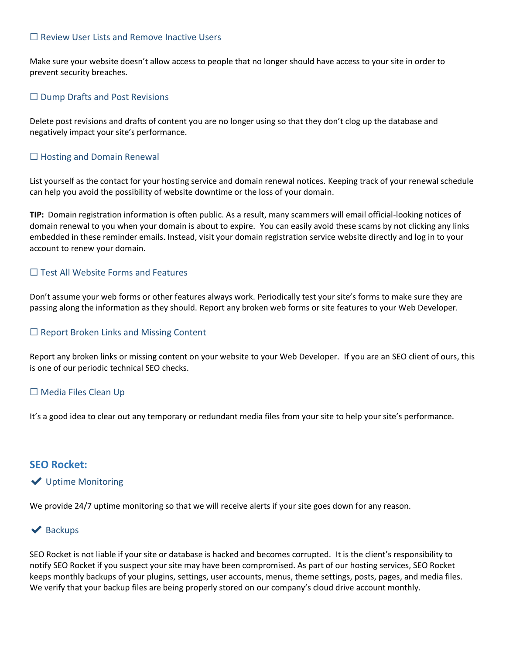#### ☐ Review User Lists and Remove Inactive Users

Make sure your website doesn't allow access to people that no longer should have access to your site in order to prevent security breaches.

#### $\Box$  Dump Drafts and Post Revisions

Delete post revisions and drafts of content you are no longer using so that they don't clog up the database and negatively impact your site's performance.

#### $\Box$  Hosting and Domain Renewal

List yourself as the contact for your hosting service and domain renewal notices. Keeping track of your renewal schedule can help you avoid the possibility of website downtime or the loss of your domain.

**TIP:** Domain registration information is often public. As a result, many scammers will email official-looking notices of domain renewal to you when your domain is about to expire. You can easily avoid these scams by not clicking any links embedded in these reminder emails. Instead, visit your domain registration service website directly and log in to your account to renew your domain.

#### □ Test All Website Forms and Features

Don't assume your web forms or other features always work. Periodically test your site's forms to make sure they are passing along the information as they should. Report any broken web forms or site features to your Web Developer.

#### ☐ Report Broken Links and Missing Content

Report any broken links or missing content on your website to your Web Developer. If you are an SEO client of ours, this is one of our periodic technical SEO checks.

#### □ Media Files Clean Up

It's a good idea to clear out any temporary or redundant media files from your site to help your site's performance.

#### **SEO Rocket:**

#### ✔ Uptime Monitoring

We provide 24/7 uptime monitoring so that we will receive alerts if your site goes down for any reason.

#### $\blacktriangleright$  Backups

SEO Rocket is not liable if your site or database is hacked and becomes corrupted. It is the client's responsibility to notify SEO Rocket if you suspect your site may have been compromised. As part of our hosting services, SEO Rocket keeps monthly backups of your plugins, settings, user accounts, menus, theme settings, posts, pages, and media files. We verify that your backup files are being properly stored on our company's cloud drive account monthly.